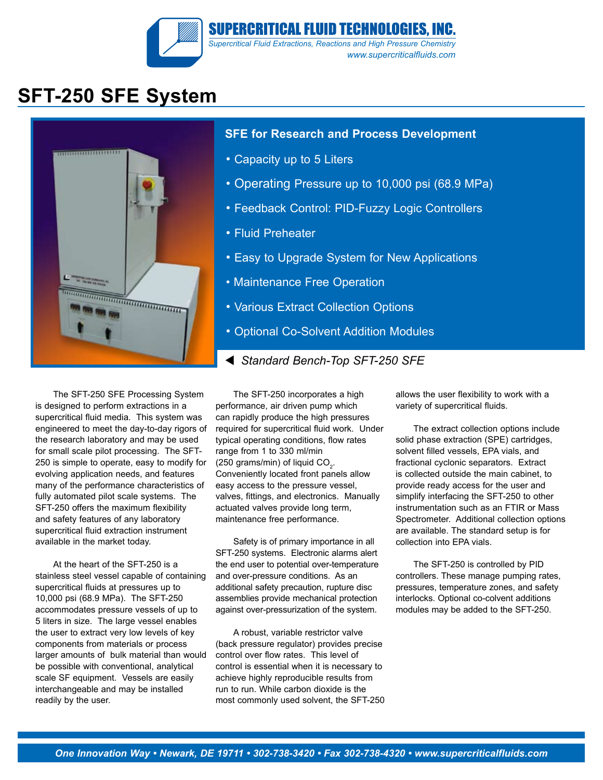

## **SFT-250 SFE System**



#### **SFE for Research and Process Development**

- Capacity up to 5 Liters
- Operating Pressure up to 10,000 psi (68.9 MPa)
- Feedback Control: PID-Fuzzy Logic Controllers
- Fluid Preheater
- Easy to Upgrade System for New Applications
- Maintenance Free Operation
- Various Extract Collection Options
- Optional Co-Solvent Addition Modules
- *Standard Bench-Top SFT-250 SFE*

The SFT-250 SFE Processing System is designed to perform extractions in a supercritical fluid media. This system was engineered to meet the day-to-day rigors of the research laboratory and may be used for small scale pilot processing. The SFT-250 is simple to operate, easy to modify for evolving application needs, and features many of the performance characteristics of fully automated pilot scale systems. The SFT-250 offers the maximum flexibility and safety features of any laboratory supercritical fluid extraction instrument available in the market today.

At the heart of the SFT-250 is a stainless steel vessel capable of containing supercritical fluids at pressures up to 10,000 psi (68.9 MPa). The SFT-250 accommodates pressure vessels of up to 5 liters in size. The large vessel enables the user to extract very low levels of key components from materials or process larger amounts of bulk material than would be possible with conventional, analytical scale SF equipment. Vessels are easily interchangeable and may be installed readily by the user.

The SFT-250 incorporates a high performance, air driven pump which can rapidly produce the high pressures required for supercritical fluid work. Under typical operating conditions, flow rates range from 1 to 330 ml/min (250 grams/min) of liquid  $CO<sub>2</sub>$ . Conveniently located front panels allow easy access to the pressure vessel, valves, fittings, and electronics. Manually actuated valves provide long term, maintenance free performance.

Safety is of primary importance in all SFT-250 systems. Electronic alarms alert the end user to potential over-temperature and over-pressure conditions. As an additional safety precaution, rupture disc assemblies provide mechanical protection against over-pressurization of the system.

A robust, variable restrictor valve (back pressure regulator) provides precise control over flow rates. This level of control is essential when it is necessary to achieve highly reproducible results from run to run. While carbon dioxide is the most commonly used solvent, the SFT-250 allows the user flexibility to work with a variety of supercritical fluids.

The extract collection options include solid phase extraction (SPE) cartridges, solvent filled vessels, EPA vials, and fractional cyclonic separators. Extract is collected outside the main cabinet, to provide ready access for the user and simplify interfacing the SFT-250 to other instrumentation such as an FTIR or Mass Spectrometer. Additional collection options are available. The standard setup is for collection into EPA vials.

The SFT-250 is controlled by PID controllers. These manage pumping rates, pressures, temperature zones, and safety interlocks. Optional co-colvent additions modules may be added to the SFT-250.